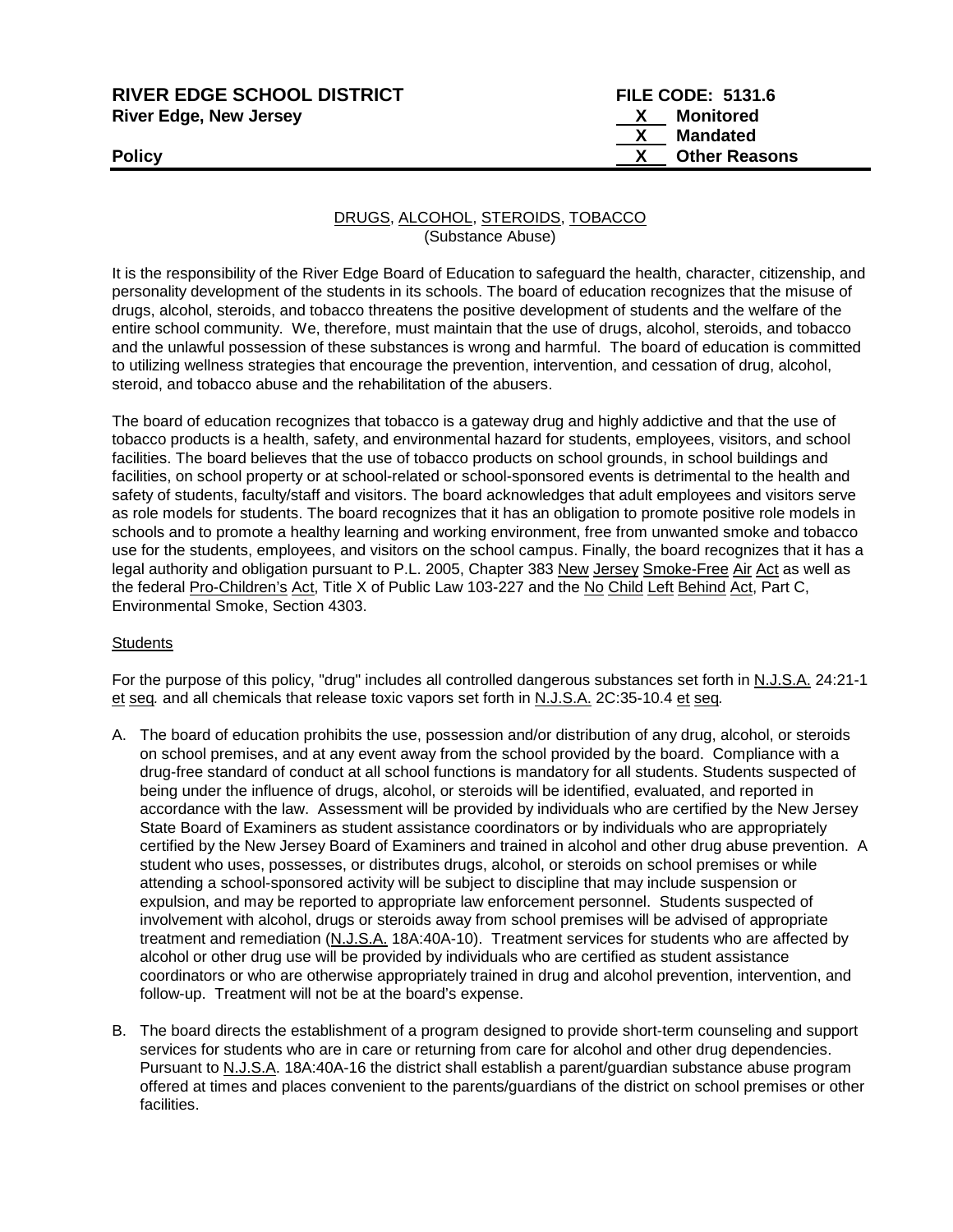| <b>RIVER EDGE SCHOOL DISTRICT</b> | <b>FILE CODE: 5131.6</b> |
|-----------------------------------|--------------------------|
| River Edge, New Jersey            | <b>Monitored</b>         |
|                                   | Mandated                 |
| Policy                            | <b>Other Reasons</b>     |
|                                   |                          |

DRUGS, ALCOHOL, STEROIDS, TOBACCO (Substance Abuse)

It is the responsibility of the River Edge Board of Education to safeguard the health, character, citizenship, and personality development of the students in its schools. The board of education recognizes that the misuse of drugs, alcohol, steroids, and tobacco threatens the positive development of students and the welfare of the entire school community. We, therefore, must maintain that the use of drugs, alcohol, steroids, and tobacco and the unlawful possession of these substances is wrong and harmful. The board of education is committed to utilizing wellness strategies that encourage the prevention, intervention, and cessation of drug, alcohol, steroid, and tobacco abuse and the rehabilitation of the abusers.

The board of education recognizes that tobacco is a gateway drug and highly addictive and that the use of tobacco products is a health, safety, and environmental hazard for students, employees, visitors, and school facilities. The board believes that the use of tobacco products on school grounds, in school buildings and facilities, on school property or at school-related or school-sponsored events is detrimental to the health and safety of students, faculty/staff and visitors. The board acknowledges that adult employees and visitors serve as role models for students. The board recognizes that it has an obligation to promote positive role models in schools and to promote a healthy learning and working environment, free from unwanted smoke and tobacco use for the students, employees, and visitors on the school campus. Finally, the board recognizes that it has a legal authority and obligation pursuant to P.L. 2005, Chapter 383 New Jersey Smoke-Free Air Act as well as the federal Pro-Children's Act, Title X of Public Law 103-227 and the No Child Left Behind Act, Part C, Environmental Smoke, Section 4303.

#### **Students**

For the purpose of this policy, "drug" includes all controlled dangerous substances set forth in N.J.S.A. 24:21-1 et seq*.* and all chemicals that release toxic vapors set forth in N.J.S.A. 2C:35-10.4 et seq*.*

- A. The board of education prohibits the use, possession and/or distribution of any drug, alcohol, or steroids on school premises, and at any event away from the school provided by the board. Compliance with a drug-free standard of conduct at all school functions is mandatory for all students. Students suspected of being under the influence of drugs, alcohol, or steroids will be identified, evaluated, and reported in accordance with the law. Assessment will be provided by individuals who are certified by the New Jersey State Board of Examiners as student assistance coordinators or by individuals who are appropriately certified by the New Jersey Board of Examiners and trained in alcohol and other drug abuse prevention. A student who uses, possesses, or distributes drugs, alcohol, or steroids on school premises or while attending a school-sponsored activity will be subject to discipline that may include suspension or expulsion, and may be reported to appropriate law enforcement personnel. Students suspected of involvement with alcohol, drugs or steroids away from school premises will be advised of appropriate treatment and remediation (N.J.S.A. 18A:40A-10). Treatment services for students who are affected by alcohol or other drug use will be provided by individuals who are certified as student assistance coordinators or who are otherwise appropriately trained in drug and alcohol prevention, intervention, and follow-up. Treatment will not be at the board's expense.
- B. The board directs the establishment of a program designed to provide short-term counseling and support services for students who are in care or returning from care for alcohol and other drug dependencies. Pursuant to N.J.S.A. 18A:40A-16 the district shall establish a parent/guardian substance abuse program offered at times and places convenient to the parents/guardians of the district on school premises or other facilities.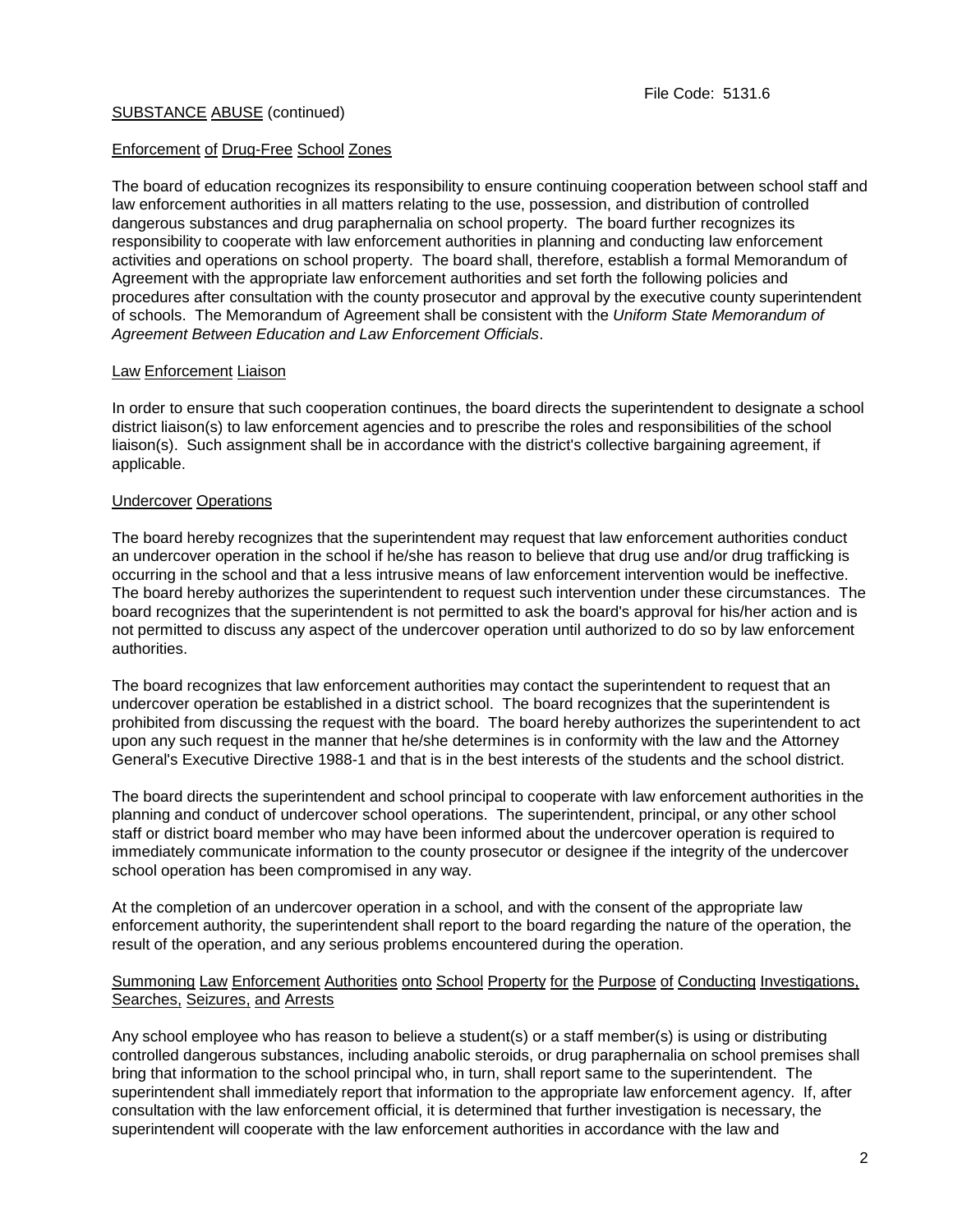# Enforcement of Drug-Free School Zones

The board of education recognizes its responsibility to ensure continuing cooperation between school staff and law enforcement authorities in all matters relating to the use, possession, and distribution of controlled dangerous substances and drug paraphernalia on school property. The board further recognizes its responsibility to cooperate with law enforcement authorities in planning and conducting law enforcement activities and operations on school property. The board shall, therefore, establish a formal Memorandum of Agreement with the appropriate law enforcement authorities and set forth the following policies and procedures after consultation with the county prosecutor and approval by the executive county superintendent of schools. The Memorandum of Agreement shall be consistent with the *Uniform State Memorandum of Agreement Between Education and Law Enforcement Officials*.

# Law Enforcement Liaison

In order to ensure that such cooperation continues, the board directs the superintendent to designate a school district liaison(s) to law enforcement agencies and to prescribe the roles and responsibilities of the school liaison(s). Such assignment shall be in accordance with the district's collective bargaining agreement, if applicable.

# Undercover Operations

The board hereby recognizes that the superintendent may request that law enforcement authorities conduct an undercover operation in the school if he/she has reason to believe that drug use and/or drug trafficking is occurring in the school and that a less intrusive means of law enforcement intervention would be ineffective. The board hereby authorizes the superintendent to request such intervention under these circumstances. The board recognizes that the superintendent is not permitted to ask the board's approval for his/her action and is not permitted to discuss any aspect of the undercover operation until authorized to do so by law enforcement authorities.

The board recognizes that law enforcement authorities may contact the superintendent to request that an undercover operation be established in a district school. The board recognizes that the superintendent is prohibited from discussing the request with the board. The board hereby authorizes the superintendent to act upon any such request in the manner that he/she determines is in conformity with the law and the Attorney General's Executive Directive 1988-1 and that is in the best interests of the students and the school district.

The board directs the superintendent and school principal to cooperate with law enforcement authorities in the planning and conduct of undercover school operations. The superintendent, principal, or any other school staff or district board member who may have been informed about the undercover operation is required to immediately communicate information to the county prosecutor or designee if the integrity of the undercover school operation has been compromised in any way.

At the completion of an undercover operation in a school, and with the consent of the appropriate law enforcement authority, the superintendent shall report to the board regarding the nature of the operation, the result of the operation, and any serious problems encountered during the operation.

#### Summoning Law Enforcement Authorities onto School Property for the Purpose of Conducting Investigations, Searches, Seizures, and Arrests

Any school employee who has reason to believe a student(s) or a staff member(s) is using or distributing controlled dangerous substances, including anabolic steroids, or drug paraphernalia on school premises shall bring that information to the school principal who, in turn, shall report same to the superintendent. The superintendent shall immediately report that information to the appropriate law enforcement agency. If, after consultation with the law enforcement official, it is determined that further investigation is necessary, the superintendent will cooperate with the law enforcement authorities in accordance with the law and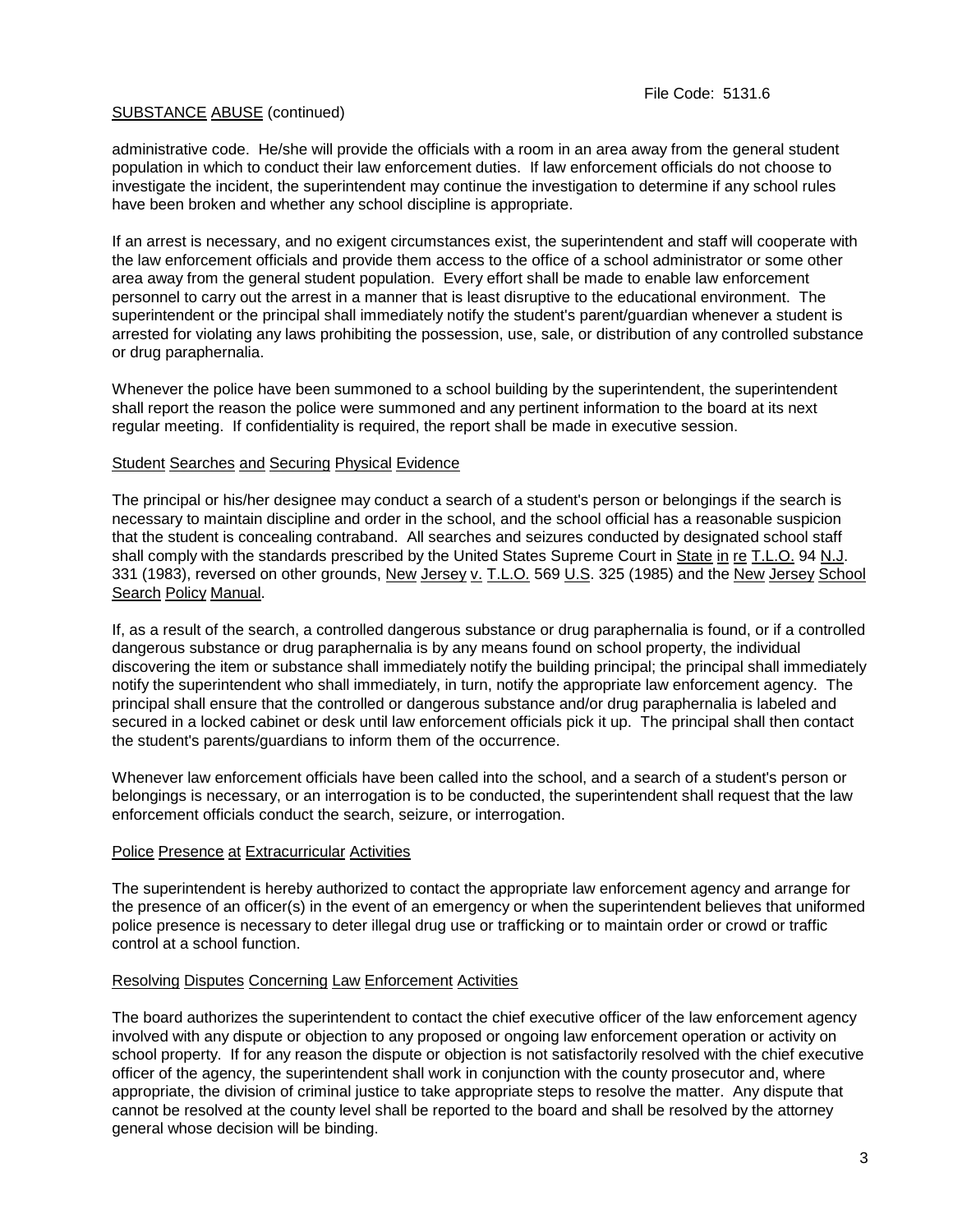administrative code. He/she will provide the officials with a room in an area away from the general student population in which to conduct their law enforcement duties. If law enforcement officials do not choose to investigate the incident, the superintendent may continue the investigation to determine if any school rules have been broken and whether any school discipline is appropriate.

If an arrest is necessary, and no exigent circumstances exist, the superintendent and staff will cooperate with the law enforcement officials and provide them access to the office of a school administrator or some other area away from the general student population. Every effort shall be made to enable law enforcement personnel to carry out the arrest in a manner that is least disruptive to the educational environment. The superintendent or the principal shall immediately notify the student's parent/guardian whenever a student is arrested for violating any laws prohibiting the possession, use, sale, or distribution of any controlled substance or drug paraphernalia.

Whenever the police have been summoned to a school building by the superintendent, the superintendent shall report the reason the police were summoned and any pertinent information to the board at its next regular meeting. If confidentiality is required, the report shall be made in executive session.

#### Student Searches and Securing Physical Evidence

The principal or his/her designee may conduct a search of a student's person or belongings if the search is necessary to maintain discipline and order in the school, and the school official has a reasonable suspicion that the student is concealing contraband. All searches and seizures conducted by designated school staff shall comply with the standards prescribed by the United States Supreme Court in State in re T.L.O. 94 N.J. 331 (1983), reversed on other grounds, New Jersey v. T.L.O*.* 569 U.S. 325 (1985) and the New Jersey School Search Policy Manual.

If, as a result of the search, a controlled dangerous substance or drug paraphernalia is found, or if a controlled dangerous substance or drug paraphernalia is by any means found on school property, the individual discovering the item or substance shall immediately notify the building principal; the principal shall immediately notify the superintendent who shall immediately, in turn, notify the appropriate law enforcement agency. The principal shall ensure that the controlled or dangerous substance and/or drug paraphernalia is labeled and secured in a locked cabinet or desk until law enforcement officials pick it up. The principal shall then contact the student's parents/guardians to inform them of the occurrence.

Whenever law enforcement officials have been called into the school, and a search of a student's person or belongings is necessary, or an interrogation is to be conducted, the superintendent shall request that the law enforcement officials conduct the search, seizure, or interrogation.

# Police Presence at Extracurricular Activities

The superintendent is hereby authorized to contact the appropriate law enforcement agency and arrange for the presence of an officer(s) in the event of an emergency or when the superintendent believes that uniformed police presence is necessary to deter illegal drug use or trafficking or to maintain order or crowd or traffic control at a school function.

# Resolving Disputes Concerning Law Enforcement Activities

The board authorizes the superintendent to contact the chief executive officer of the law enforcement agency involved with any dispute or objection to any proposed or ongoing law enforcement operation or activity on school property. If for any reason the dispute or objection is not satisfactorily resolved with the chief executive officer of the agency, the superintendent shall work in conjunction with the county prosecutor and, where appropriate, the division of criminal justice to take appropriate steps to resolve the matter. Any dispute that cannot be resolved at the county level shall be reported to the board and shall be resolved by the attorney general whose decision will be binding.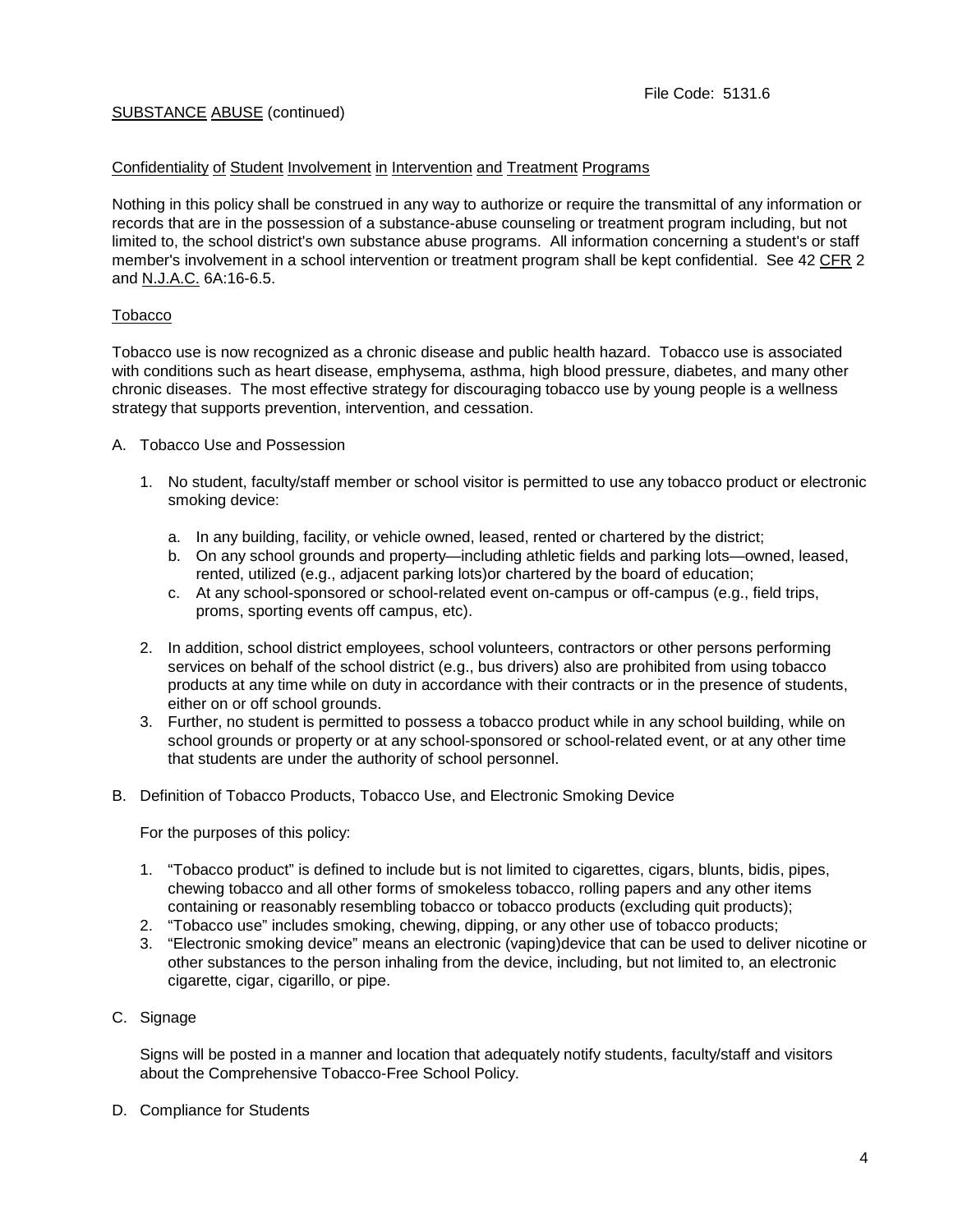### Confidentiality of Student Involvement in Intervention and Treatment Programs

Nothing in this policy shall be construed in any way to authorize or require the transmittal of any information or records that are in the possession of a substance-abuse counseling or treatment program including, but not limited to, the school district's own substance abuse programs. All information concerning a student's or staff member's involvement in a school intervention or treatment program shall be kept confidential. See 42 CFR 2 and N.J.A.C. 6A:16-6.5.

#### Tobacco

Tobacco use is now recognized as a chronic disease and public health hazard. Tobacco use is associated with conditions such as heart disease, emphysema, asthma, high blood pressure, diabetes, and many other chronic diseases. The most effective strategy for discouraging tobacco use by young people is a wellness strategy that supports prevention, intervention, and cessation.

- A. Tobacco Use and Possession
	- 1. No student, faculty/staff member or school visitor is permitted to use any tobacco product or electronic smoking device:
		- a. In any building, facility, or vehicle owned, leased, rented or chartered by the district;
		- b. On any school grounds and property—including athletic fields and parking lots—owned, leased, rented, utilized (e.g., adjacent parking lots)or chartered by the board of education;
		- c. At any school-sponsored or school-related event on-campus or off-campus (e.g., field trips, proms, sporting events off campus, etc).
	- 2. In addition, school district employees, school volunteers, contractors or other persons performing services on behalf of the school district (e.g., bus drivers) also are prohibited from using tobacco products at any time while on duty in accordance with their contracts or in the presence of students, either on or off school grounds.
	- 3. Further, no student is permitted to possess a tobacco product while in any school building, while on school grounds or property or at any school-sponsored or school-related event, or at any other time that students are under the authority of school personnel.
- B. Definition of Tobacco Products, Tobacco Use, and Electronic Smoking Device

For the purposes of this policy:

- 1. "Tobacco product" is defined to include but is not limited to cigarettes, cigars, blunts, bidis, pipes, chewing tobacco and all other forms of smokeless tobacco, rolling papers and any other items containing or reasonably resembling tobacco or tobacco products (excluding quit products);
- 2. "Tobacco use" includes smoking, chewing, dipping, or any other use of tobacco products;
- 3. "Electronic smoking device" means an electronic (vaping)device that can be used to deliver nicotine or other substances to the person inhaling from the device, including, but not limited to, an electronic cigarette, cigar, cigarillo, or pipe.
- C. Signage

Signs will be posted in a manner and location that adequately notify students, faculty/staff and visitors about the Comprehensive Tobacco-Free School Policy.

D. Compliance for Students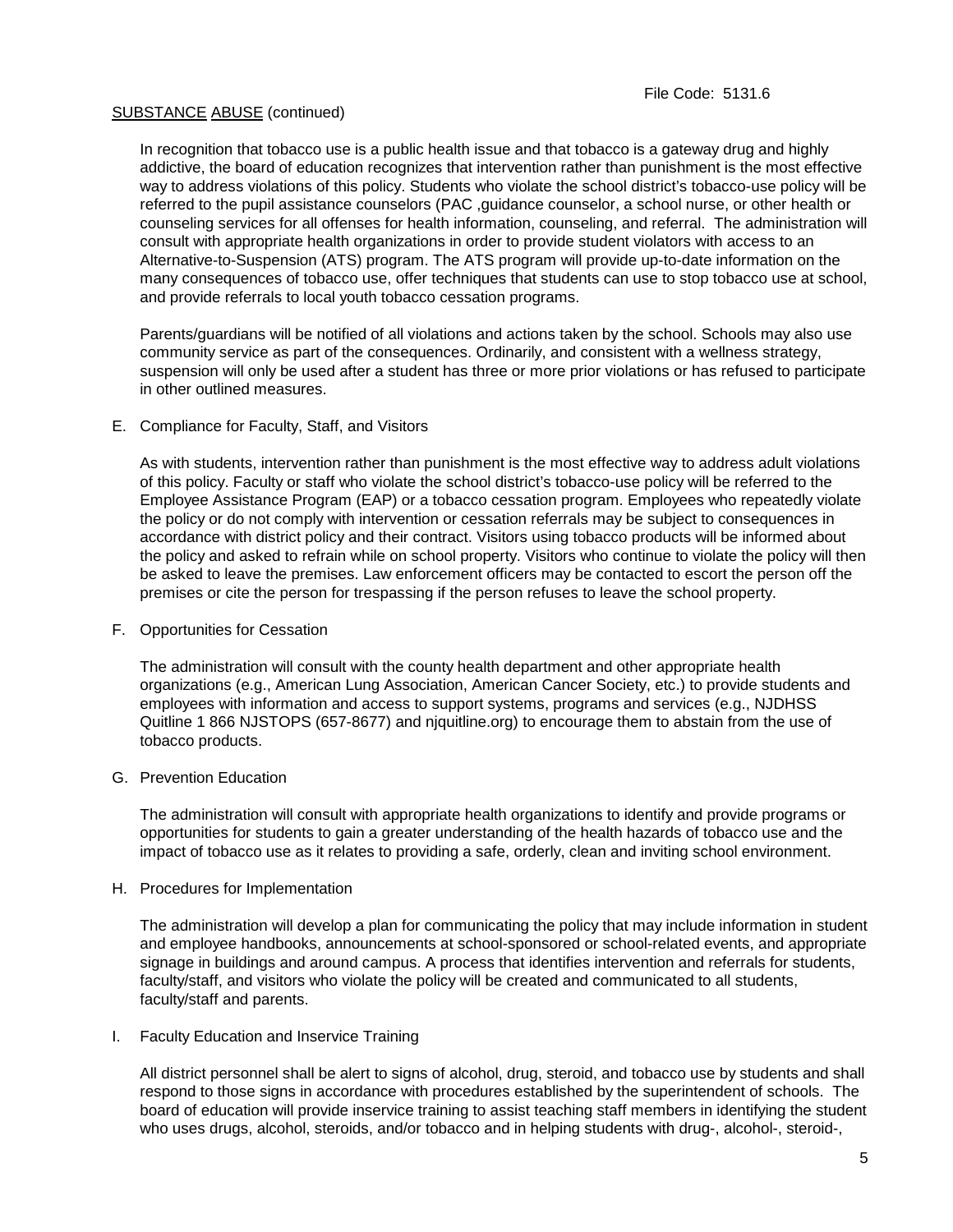In recognition that tobacco use is a public health issue and that tobacco is a gateway drug and highly addictive, the board of education recognizes that intervention rather than punishment is the most effective way to address violations of this policy. Students who violate the school district's tobacco-use policy will be referred to the pupil assistance counselors (PAC ,guidance counselor, a school nurse, or other health or counseling services for all offenses for health information, counseling, and referral. The administration will consult with appropriate health organizations in order to provide student violators with access to an Alternative-to-Suspension (ATS) program. The ATS program will provide up-to-date information on the many consequences of tobacco use, offer techniques that students can use to stop tobacco use at school, and provide referrals to local youth tobacco cessation programs.

Parents/guardians will be notified of all violations and actions taken by the school. Schools may also use community service as part of the consequences. Ordinarily, and consistent with a wellness strategy, suspension will only be used after a student has three or more prior violations or has refused to participate in other outlined measures.

#### E. Compliance for Faculty, Staff, and Visitors

As with students, intervention rather than punishment is the most effective way to address adult violations of this policy. Faculty or staff who violate the school district's tobacco-use policy will be referred to the Employee Assistance Program (EAP) or a tobacco cessation program. Employees who repeatedly violate the policy or do not comply with intervention or cessation referrals may be subject to consequences in accordance with district policy and their contract. Visitors using tobacco products will be informed about the policy and asked to refrain while on school property. Visitors who continue to violate the policy will then be asked to leave the premises. Law enforcement officers may be contacted to escort the person off the premises or cite the person for trespassing if the person refuses to leave the school property.

#### F. Opportunities for Cessation

The administration will consult with the county health department and other appropriate health organizations (e.g., American Lung Association, American Cancer Society, etc.) to provide students and employees with information and access to support systems, programs and services (e.g., NJDHSS Quitline 1 866 NJSTOPS (657-8677) and njquitline.org) to encourage them to abstain from the use of tobacco products.

#### G. Prevention Education

The administration will consult with appropriate health organizations to identify and provide programs or opportunities for students to gain a greater understanding of the health hazards of tobacco use and the impact of tobacco use as it relates to providing a safe, orderly, clean and inviting school environment.

#### H. Procedures for Implementation

The administration will develop a plan for communicating the policy that may include information in student and employee handbooks, announcements at school-sponsored or school-related events, and appropriate signage in buildings and around campus. A process that identifies intervention and referrals for students, faculty/staff, and visitors who violate the policy will be created and communicated to all students, faculty/staff and parents.

# I. Faculty Education and Inservice Training

All district personnel shall be alert to signs of alcohol, drug, steroid, and tobacco use by students and shall respond to those signs in accordance with procedures established by the superintendent of schools. The board of education will provide inservice training to assist teaching staff members in identifying the student who uses drugs, alcohol, steroids, and/or tobacco and in helping students with drug-, alcohol-, steroid-,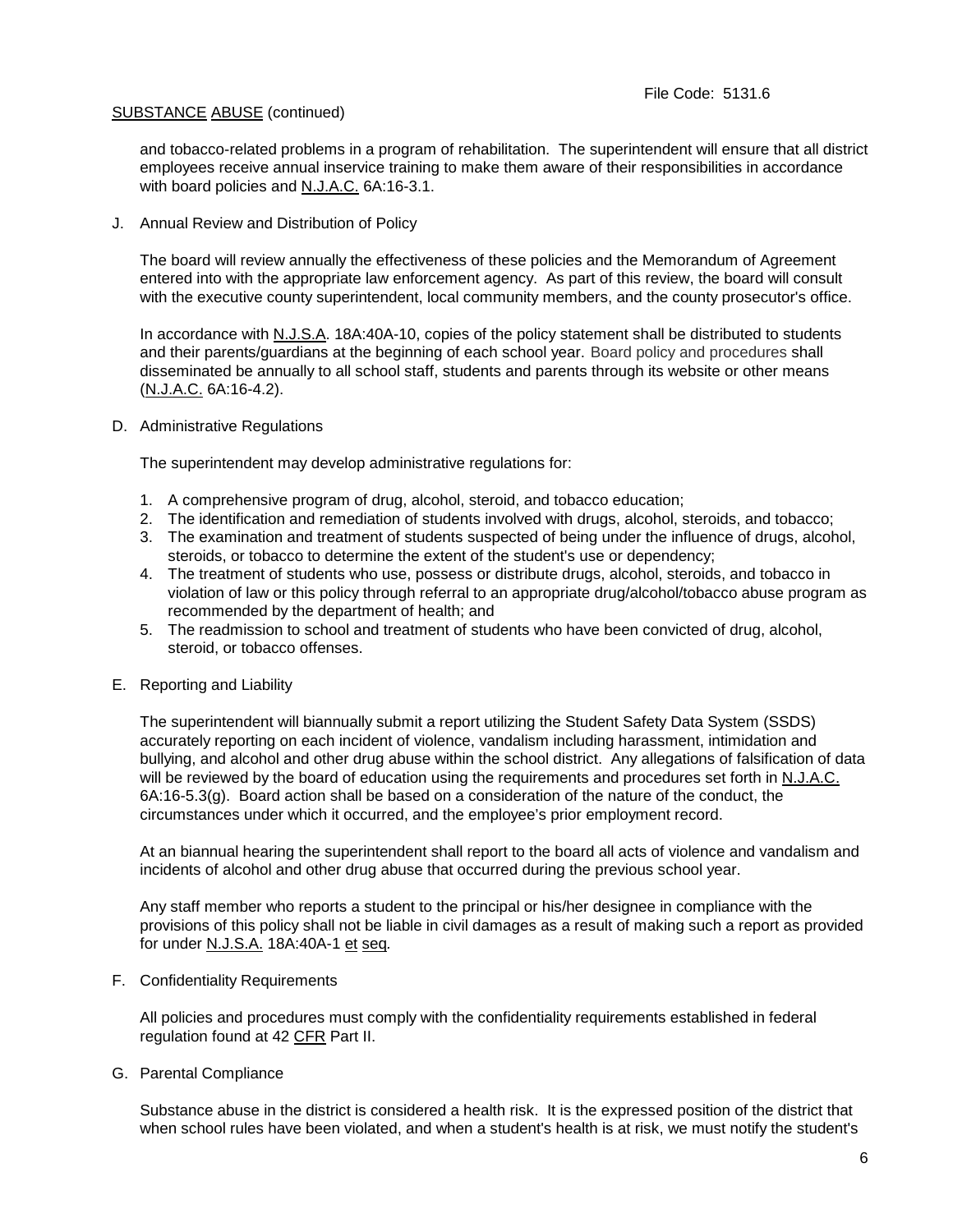and tobacco-related problems in a program of rehabilitation. The superintendent will ensure that all district employees receive annual inservice training to make them aware of their responsibilities in accordance with board policies and N.J.A.C. 6A:16-3.1.

J. Annual Review and Distribution of Policy

The board will review annually the effectiveness of these policies and the Memorandum of Agreement entered into with the appropriate law enforcement agency. As part of this review, the board will consult with the executive county superintendent, local community members, and the county prosecutor's office.

In accordance with N.J.S.A. 18A:40A-10, copies of the policy statement shall be distributed to students and their parents/guardians at the beginning of each school year. Board policy and procedures shall disseminated be annually to all school staff, students and parents through its website or other means (N.J.A.C. 6A:16-4.2).

D. Administrative Regulations

The superintendent may develop administrative regulations for:

- 1. A comprehensive program of drug, alcohol, steroid, and tobacco education;
- 2. The identification and remediation of students involved with drugs, alcohol, steroids, and tobacco;
- 3. The examination and treatment of students suspected of being under the influence of drugs, alcohol, steroids, or tobacco to determine the extent of the student's use or dependency;
- 4. The treatment of students who use, possess or distribute drugs, alcohol, steroids, and tobacco in violation of law or this policy through referral to an appropriate drug/alcohol/tobacco abuse program as recommended by the department of health; and
- 5. The readmission to school and treatment of students who have been convicted of drug, alcohol, steroid, or tobacco offenses.
- E. Reporting and Liability

The superintendent will biannually submit a report utilizing the Student Safety Data System (SSDS) accurately reporting on each incident of violence, vandalism including harassment, intimidation and bullying, and alcohol and other drug abuse within the school district. Any allegations of falsification of data will be reviewed by the board of education using the requirements and procedures set forth in N.J.A.C.  $6A:16-5.3(q)$ . Board action shall be based on a consideration of the nature of the conduct, the circumstances under which it occurred, and the employee's prior employment record.

At an biannual hearing the superintendent shall report to the board all acts of violence and vandalism and incidents of alcohol and other drug abuse that occurred during the previous school year.

Any staff member who reports a student to the principal or his/her designee in compliance with the provisions of this policy shall not be liable in civil damages as a result of making such a report as provided for under N.J.S.A. 18A:40A-1 et seq*.*

F. Confidentiality Requirements

All policies and procedures must comply with the confidentiality requirements established in federal regulation found at 42 CFR Part II.

G. Parental Compliance

Substance abuse in the district is considered a health risk. It is the expressed position of the district that when school rules have been violated, and when a student's health is at risk, we must notify the student's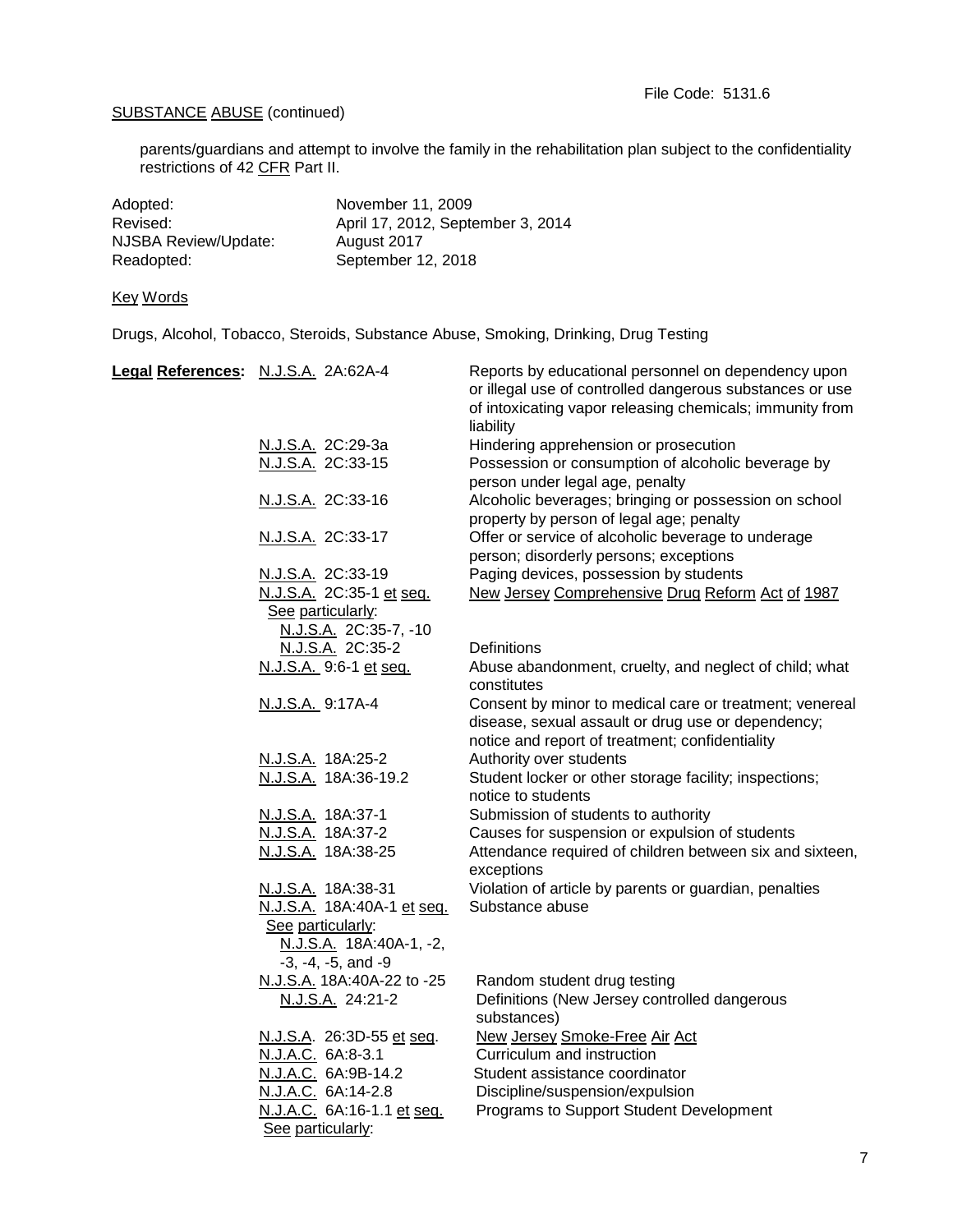parents/guardians and attempt to involve the family in the rehabilitation plan subject to the confidentiality restrictions of 42 CFR Part II.

| November 11, 2009                 |
|-----------------------------------|
| April 17, 2012, September 3, 2014 |
| August 2017                       |
| September 12, 2018                |
|                                   |

# Key Words

Drugs, Alcohol, Tobacco, Steroids, Substance Abuse, Smoking, Drinking, Drug Testing

| Legal References: N.J.S.A. 2A:62A-4 |                                                                        | Reports by educational personnel on dependency upon<br>or illegal use of controlled dangerous substances or use<br>of intoxicating vapor releasing chemicals; immunity from<br>liability |
|-------------------------------------|------------------------------------------------------------------------|------------------------------------------------------------------------------------------------------------------------------------------------------------------------------------------|
|                                     | N.J.S.A. 2C:29-3a                                                      | Hindering apprehension or prosecution                                                                                                                                                    |
|                                     | N.J.S.A. 2C:33-15                                                      | Possession or consumption of alcoholic beverage by<br>person under legal age, penalty                                                                                                    |
|                                     | N.J.S.A. 2C:33-16                                                      | Alcoholic beverages; bringing or possession on school<br>property by person of legal age; penalty                                                                                        |
|                                     | N.J.S.A. 2C:33-17                                                      | Offer or service of alcoholic beverage to underage<br>person; disorderly persons; exceptions                                                                                             |
|                                     | N.J.S.A. 2C:33-19                                                      | Paging devices, possession by students                                                                                                                                                   |
|                                     | N.J.S.A. 2C:35-1 et seq.<br>See particularly:                          | New Jersey Comprehensive Drug Reform Act of 1987                                                                                                                                         |
|                                     | N.J.S.A. 2C:35-7, -10                                                  |                                                                                                                                                                                          |
|                                     | N.J.S.A. 2C:35-2                                                       | <b>Definitions</b>                                                                                                                                                                       |
|                                     | N.J.S.A. 9:6-1 et seq.                                                 | Abuse abandonment, cruelty, and neglect of child; what<br>constitutes                                                                                                                    |
|                                     | N.J.S.A. 9:17A-4                                                       | Consent by minor to medical care or treatment; venereal<br>disease, sexual assault or drug use or dependency;<br>notice and report of treatment; confidentiality                         |
|                                     | N.J.S.A. 18A:25-2                                                      | Authority over students                                                                                                                                                                  |
|                                     | N.J.S.A. 18A:36-19.2                                                   | Student locker or other storage facility; inspections;<br>notice to students                                                                                                             |
|                                     | N.J.S.A. 18A:37-1                                                      | Submission of students to authority                                                                                                                                                      |
|                                     | N.J.S.A. 18A:37-2                                                      | Causes for suspension or expulsion of students                                                                                                                                           |
|                                     | N.J.S.A. 18A:38-25                                                     | Attendance required of children between six and sixteen,<br>exceptions                                                                                                                   |
|                                     | N.J.S.A. 18A:38-31<br>N.J.S.A. 18A:40A-1 et seq.                       | Violation of article by parents or guardian, penalties<br>Substance abuse                                                                                                                |
|                                     | See particularly:<br>N.J.S.A. 18A:40A-1, -2,<br>$-3, -4, -5,$ and $-9$ |                                                                                                                                                                                          |
|                                     | N.J.S.A. 18A:40A-22 to -25<br>N.J.S.A. 24:21-2                         | Random student drug testing<br>Definitions (New Jersey controlled dangerous<br>substances)                                                                                               |
|                                     | N.J.S.A. 26:3D-55 et seq.                                              | New Jersey Smoke-Free Air Act                                                                                                                                                            |
|                                     | N.J.A.C. 6A:8-3.1                                                      | Curriculum and instruction                                                                                                                                                               |
|                                     | N.J.A.C. 6A:9B-14.2                                                    | Student assistance coordinator                                                                                                                                                           |
|                                     | N.J.A.C. 6A:14-2.8                                                     | Discipline/suspension/expulsion                                                                                                                                                          |
|                                     | N.J.A.C. 6A:16-1.1 et seq.<br>See particularly:                        | Programs to Support Student Development                                                                                                                                                  |
|                                     |                                                                        |                                                                                                                                                                                          |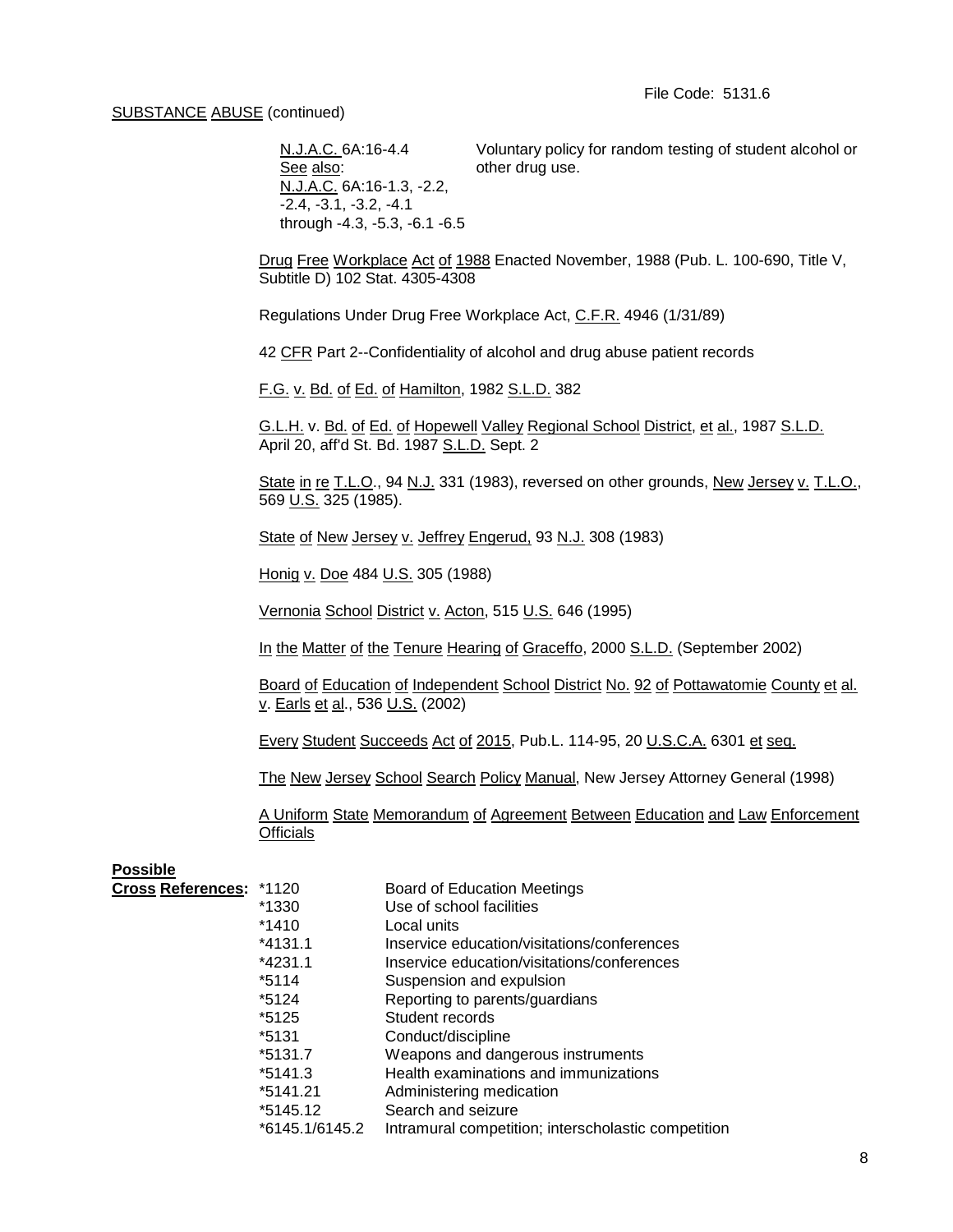N.J.A.C. 6A:16-4.4 Voluntary policy for random testing of student alcohol or See also: other drug use. N.J.A.C. 6A:16-1.3, -2.2, -2.4, -3.1, -3.2, -4.1 through -4.3, -5.3, -6.1 -6.5

Drug Free Workplace Act of 1988 Enacted November, 1988 (Pub. L. 100-690, Title V, Subtitle D) 102 Stat. 4305-4308

Regulations Under Drug Free Workplace Act, C.F.R. 4946 (1/31/89)

42 CFR Part 2--Confidentiality of alcohol and drug abuse patient records

F.G. v. Bd. of Ed. of Hamilton, 1982 S.L.D. 382

G.L.H. v. Bd. of Ed. of Hopewell Valley Regional School District, et al., 1987 S.L.D. April 20, aff'd St. Bd. 1987 S.L.D. Sept. 2

State in re T.L.O., 94 N.J. 331 (1983), reversed on other grounds, New Jersey v. T.L.O., 569 U.S. 325 (1985).

State of New Jersey v. Jeffrey Engerud, 93 N.J. 308 (1983)

Honig v. Doe 484 U.S. 305 (1988)

Vernonia School District v. Acton, 515 U.S. 646 (1995)

In the Matter of the Tenure Hearing of Graceffo, 2000 S.L.D. (September 2002)

Board of Education of Independent School District No. 92 of Pottawatomie County et al. v. Earls et al., 536 U.S. (2002)

Every Student Succeeds Act of 2015, Pub.L. 114-95, 20 U.S.C.A. 6301 et seq.

The New Jersey School Search Policy Manual, New Jersey Attorney General (1998)

A Uniform State Memorandum of Agreement Between Education and Law Enforcement **Officials** 

#### **Possible**

| Cross References: *1120 |                | <b>Board of Education Meetings</b>                  |
|-------------------------|----------------|-----------------------------------------------------|
|                         | *1330          | Use of school facilities                            |
|                         | *1410          | Local units                                         |
|                         | $*4131.1$      | Inservice education/visitations/conferences         |
|                         | *4231.1        | Inservice education/visitations/conferences         |
|                         | *5114          | Suspension and expulsion                            |
|                         | *5124          | Reporting to parents/guardians                      |
|                         | *5125          | Student records                                     |
|                         | *5131          | Conduct/discipline                                  |
|                         | *5131.7        | Weapons and dangerous instruments                   |
|                         | *5141.3        | Health examinations and immunizations               |
|                         | *5141.21       | Administering medication                            |
|                         | *5145.12       | Search and seizure                                  |
|                         | *6145.1/6145.2 | Intramural competition; interscholastic competition |